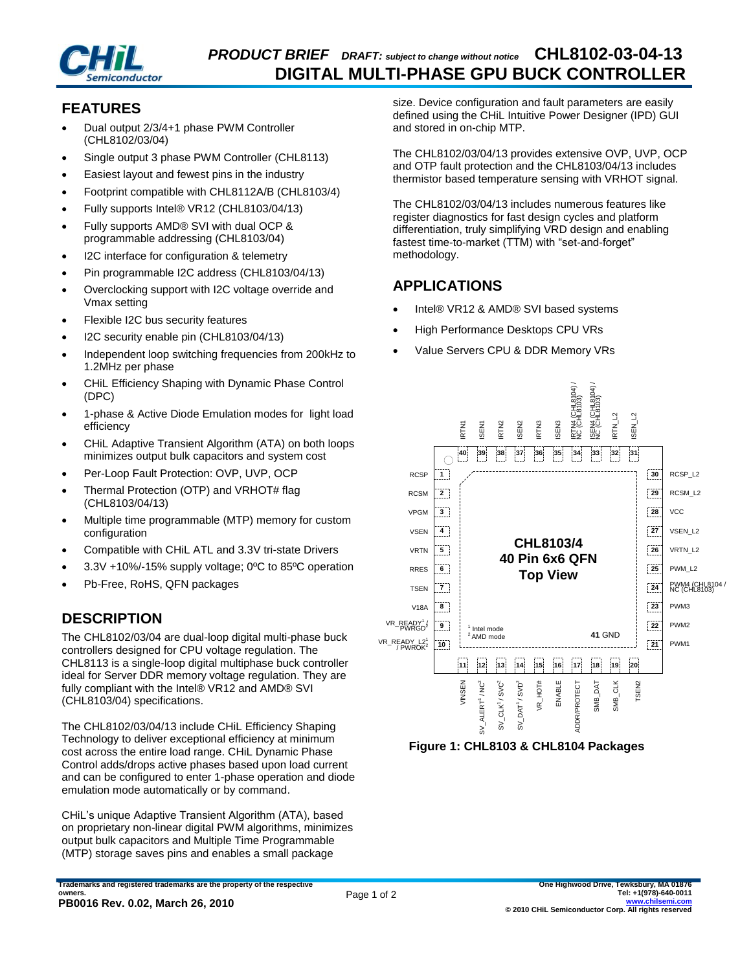

### **FEATURES**

- Dual output 2/3/4+1 phase PWM Controller (CHL8102/03/04)
- Single output 3 phase PWM Controller (CHL8113)
- Easiest layout and fewest pins in the industry
- Footprint compatible with CHL8112A/B (CHL8103/4)
- Fully supports Intel® VR12 (CHL8103/04/13)
- Fully supports AMD® SVI with dual OCP & programmable addressing (CHL8103/04)
- I2C interface for configuration & telemetry
- Pin programmable I2C address (CHL8103/04/13)
- Overclocking support with I2C voltage override and Vmax setting
- Flexible I2C bus security features
- I2C security enable pin (CHL8103/04/13)
- Independent loop switching frequencies from 200kHz to 1.2MHz per phase
- CHiL Efficiency Shaping with Dynamic Phase Control (DPC)
- 1-phase & Active Diode Emulation modes for light load efficiency
- CHiL Adaptive Transient Algorithm (ATA) on both loops minimizes output bulk capacitors and system cost
- Per-Loop Fault Protection: OVP, UVP, OCP
- Thermal Protection (OTP) and VRHOT# flag (CHL8103/04/13)
- Multiple time programmable (MTP) memory for custom configuration
- Compatible with CHiL ATL and 3.3V tri-state Drivers
- 3.3V +10%/-15% supply voltage; 0ºC to 85ºC operation
- Pb-Free, RoHS, QFN packages

# **DESCRIPTION**

The CHL8102/03/04 are dual-loop digital multi-phase buck controllers designed for CPU voltage regulation. The CHL8113 is a single-loop digital multiphase buck controller ideal for Server DDR memory voltage regulation. They are fully compliant with the Intel® VR12 and AMD® SVI (CHL8103/04) specifications.

The CHL8102/03/04/13 include CHiL Efficiency Shaping Technology to deliver exceptional efficiency at minimum cost across the entire load range. CHiL Dynamic Phase Control adds/drops active phases based upon load current and can be configured to enter 1-phase operation and diode emulation mode automatically or by command.

CHiL's unique Adaptive Transient Algorithm (ATA), based on proprietary non-linear digital PWM algorithms, minimizes output bulk capacitors and Multiple Time Programmable (MTP) storage saves pins and enables a small package

size. Device configuration and fault parameters are easily defined using the CHiL Intuitive Power Designer (IPD) GUI and stored in on-chip MTP.

The CHL8102/03/04/13 provides extensive OVP, UVP, OCP and OTP fault protection and the CHL8103/04/13 includes thermistor based temperature sensing with VRHOT signal.

The CHL8102/03/04/13 includes numerous features like register diagnostics for fast design cycles and platform differentiation, truly simplifying VRD design and enabling fastest time-to-market (TTM) with "set-and-forget" methodology.

## **APPLICATIONS**

- Intel® VR12 & AMD® SVI based systems
- High Performance Desktops CPU VRs
- Value Servers CPU & DDR Memory VRs



**Figure 1: CHL8103 & CHL8104 Packages**